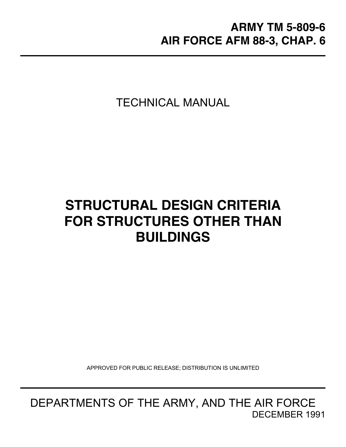TECHNICAL MANUAL

# **STRUCTURAL DESIGN CRITERIA FOR STRUCTURES OTHER THAN BUILDINGS**

APPROVED FOR PUBLIC RELEASE; DISTRIBUTION IS UNLIMITED

DEPARTMENTS OF THE ARMY, AND THE AIR FORCE DECEMBER 1991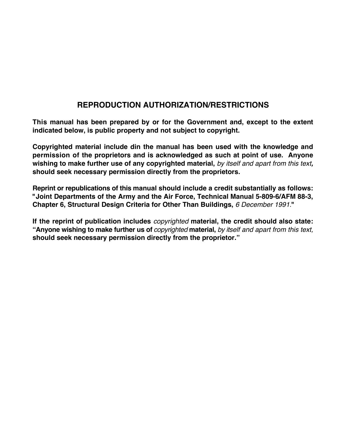## **REPRODUCTION AUTHORIZATION/RESTRICTIONS**

**This manual has been prepared by or for the Government and, except to the extent indicated below, is public property and not subject to copyright.**

**Copyrighted material include din the manual has been used with the knowledge and permission of the proprietors and is acknowledged as such at point of use. Anyone wishing to make further use of any copyrighted material,** *by itself and apart from this text,* **should seek necessary permission directly from the proprietors.**

**Reprint or republications of this manual should include a credit substantially as follows: "Joint Departments of the Army and the Air Force, Technical Manual 5-809-6/AFM 88-3, Chapter 6, Structural Design Criteria for Other Than Buildings,** *6 December 1991.***"**

**If the reprint of publication includes** *copyrighted* **material, the credit should also state: "Anyone wishing to make further us of** *copyrighted* **material,** *by itself and apart from this text,* **should seek necessary permission directly from the proprietor."**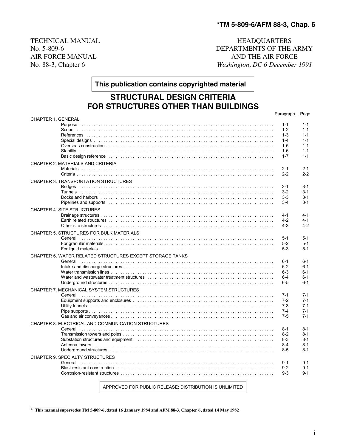AIR FORCE MANUAL

TECHNICAL MANUAL **HEADQUARTERS** No. 5-809-6 DEPARTMENTS OF THE ARMY AIR FORCE MANUAL AIR FORCE No. 88-3, Chapter 6 *Washington, DC 6 December 1991*

**This publication contains copyrighted material**

## **STRUCTURAL DESIGN CRITERIA FOR STRUCTURES OTHER THAN BUILDINGS**

|                                                                                                                 | Paragraph      | Page               |
|-----------------------------------------------------------------------------------------------------------------|----------------|--------------------|
| <b>CHAPTER 1. GENERAL</b>                                                                                       |                |                    |
|                                                                                                                 | $1 - 1$        | $1 - 1$<br>$1 - 1$ |
|                                                                                                                 | $1 - 2$        | $1 - 1$            |
|                                                                                                                 | 1-3<br>$1 - 4$ | $1 - 1$            |
|                                                                                                                 |                | $1 - 1$            |
|                                                                                                                 | $1 - 5$        |                    |
|                                                                                                                 | 1-6<br>$1 - 7$ | $1 - 1$<br>$1 - 1$ |
| Basic design reference with the contract of the contract of the contract of the contract of the contract of th  |                |                    |
| CHAPTER 2. MATERIALS AND CRITERIA                                                                               |                |                    |
|                                                                                                                 | $2 - 1$        | $2 - 1$            |
|                                                                                                                 | $2 - 2$        | $2 - 2$            |
| CHAPTER 3. TRANSPORTATION STRUCTURES                                                                            |                |                    |
|                                                                                                                 | 3-1            | $3 - 1$            |
|                                                                                                                 | $3-2$          | $3 - 1$            |
| Docks and harbors ………………………………………………………………………………………                                                             | 3-3            | $3 - 1$            |
| Pipelines and supports entertainment contains the control of the control of the control of the control of the c | $3-4$          | $3 - 1$            |
|                                                                                                                 |                |                    |
| <b>CHAPTER 4. SITE STRUCTURES</b>                                                                               |                |                    |
|                                                                                                                 | $4 - 1$        | $4 - 1$            |
|                                                                                                                 | $4-2$          | $4 - 1$            |
|                                                                                                                 | $4 - 3$        | $4 - 2$            |
| CHAPTER 5. STRUCTURES FOR BULK MATERIALS                                                                        |                |                    |
|                                                                                                                 | $5 - 1$        | $5 - 1$            |
|                                                                                                                 | $5-2$          | $5 - 1$            |
|                                                                                                                 | $5-3$          | $5 - 1$            |
| CHAPTER 6. WATER RELATED STRUCTURES EXCEPT STORAGE TANKS                                                        |                |                    |
|                                                                                                                 | 6-1            | $6 - 1$            |
|                                                                                                                 | $6 - 2$        | $6 - 1$            |
|                                                                                                                 | $6 - 3$        | $6 - 1$            |
|                                                                                                                 | $6 - 4$        | $6 - 1$            |
|                                                                                                                 | $6 - 5$        | $6 - 1$            |
|                                                                                                                 |                |                    |
| CHAPTER 7. MECHANICAL SYSTEM STRUCTURES                                                                         |                |                    |
|                                                                                                                 | $7 - 1$        | $7 - 1$            |
|                                                                                                                 | $7-2$          | $7 - 1$            |
|                                                                                                                 | $7-3$          | $7 - 1$            |
|                                                                                                                 | $7 - 4$        | $7 - 1$            |
|                                                                                                                 | $7-5$          | $7 - 1$            |
| CHAPTER 8. ELECTRICAL AND COMMUNICATION STRUCTURES                                                              |                |                    |
|                                                                                                                 | $8 - 1$        | $8 - 1$            |
|                                                                                                                 | $8-2$          | $8 - 1$            |
|                                                                                                                 | $8-3$          | $8 - 1$            |
|                                                                                                                 | $8 - 4$        | $8-1$              |
|                                                                                                                 | $8 - 5$        | $8 - 1$            |
| CHAPTER 9. SPECIALTY STRUCTURES                                                                                 |                |                    |
|                                                                                                                 | $9 - 1$        | $9 - 1$            |
|                                                                                                                 | $9 - 2$        | $9 - 1$            |
|                                                                                                                 | $9 - 3$        | $9 - 1$            |
|                                                                                                                 |                |                    |
|                                                                                                                 |                |                    |

APPROVED FOR PUBLIC RELEASE; DISTRIBUTION IS UNLIMITED

**\* This manual supersedes TM 5-809-6, dated 16 January 1984 and AFM 88-3, Chapter 6, dated 14 May 1982**

 $\mathcal{L}_\text{max}$  and  $\mathcal{L}_\text{max}$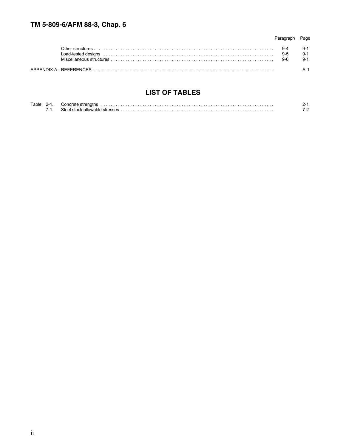|                                                                                                                                                                                                                                | Page |
|--------------------------------------------------------------------------------------------------------------------------------------------------------------------------------------------------------------------------------|------|
| Load-tested designs with the control of the control of the control of the control of the control of the control of the control of the control of the control of the control of the control of the control of the control of th |      |
|                                                                                                                                                                                                                                |      |

## **LIST OF TABLES**

| Tahle | . |  |
|-------|---|--|
|       | . |  |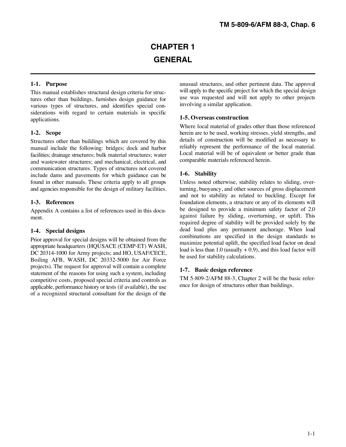This manual establishes structural design criteria for structures other than buildings, furnishes design guidance for various types of structures, and identifies special considerations with regard to certain materials in specific applications.

Structures other than buildings which are covered by this manual include the following: bridges; dock and harbor facilities; drainage structures; bulk material structures; water and wastewater structures; and mechanical, electrical, and communication structures. Types of structures not covered include dams and pavements for which guidance can be found in other manuals. These criteria apply to all groups Unless noted otherwise, stability relates to sliding, overand agencies responsible for the design of military facilities. turning, buoyancy, and other sources of gross displacement

Appendix A contains a list of references used in this document.

#### **1-4. Special designs**

Prior approval for special designs will be obtained from the appropriate headquarters (HQUSACE (CEMP-ET) WASH, DC 20314-1000 for Army projects; and HO, USAF/CECE, Boiling AFB, WASH, DC 20332-5000 for Air Force projects). The request for approval will contain a complete statement of the reasons for using such a system, including competitive costs, proposed special criteria and controls as applicable, performance history or tests (if available), the use of a recognized structural consultant for the design of the

**1-1. Purpose** unusual structures, and other pertinent data. The approval will apply to the specific project for which the special design use was requested and will not apply to other projects involving a similar application.

### **1-5. Overseas construction**

**1-2. Scope herein are to be used, working stresses, yield strengths, and** Where local material of grades other than those referenced details of construction will be modified as necessary to reliably represent the performance of the local material. Local material will be of equivalent or better grade than comparable materials referenced herein.

### **1-6. Stability**

**1-3. References** foundation elements, a structure or any of its elements will and not to stability as related to buckling. Except for be designed to provide a minimum safety factor of 2.0 against failure by sliding, overturning, or uplift. This required degree of stability will be provided solely by the dead load plus any permanent anchorage. When load combinations are specified in the design standards to maximize potential uplift, the specified load factor on dead load is less than  $1.0$  (usually  $+ 0.9$ ), and this load factor will be used for stability calculations.

#### **1-7. Basic design reference**

TM 5-809-2/AFM 88-3, Chapter 2 will be the basic reference for design of structures other than buildings.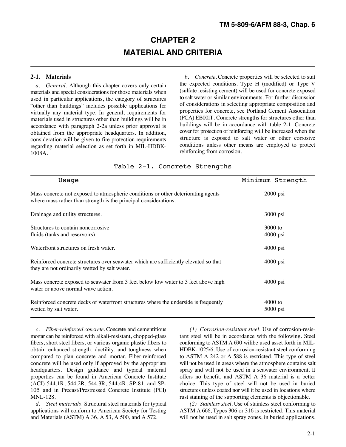## **CHAPTER 2 MATERIAL AND CRITERIA**

*a. General.* Although this chapter covers only certain materials and special considerations for those materials when used in particular applications, the category of structures "other than buildings" includes possible applications for virtually any material type. In general, requirements for materials used in structures other than buildings will be in accordance with paragraph 2-2a unless prior approval is obtained from the appropriate headquarters. In addition, consideration will be given to fire protection requirements regarding material selection as set forth in MIL-HDBK-1008A.

**2-1. Materials** *b. Concrete.* Concrete properties will be selected to suit the expected conditions. Type H (modified) or Type V (sulfate resisting cement) will be used for concrete exposed to salt water or similar environments. For further discussion of considerations in selecting appropriate composition and properties for concrete, see Portland Cement Association (PCA) EB00lT. Concrete strengths for structures other than buildings will be in accordance with table 2-1. Concrete cover for protection of reinforcing will be increased when the structure is exposed to salt water or other corrosive conditions unless other means are employed to protect reinforcing from corrosion.

#### Table 2-1. Concrete Strengths

| <u>Usaqe</u>                                                                                                                                          | Minimum Strength        |
|-------------------------------------------------------------------------------------------------------------------------------------------------------|-------------------------|
| Mass concrete not exposed to atmospheric conditions or other deteriorating agents<br>where mass rather than strength is the principal considerations. | $2000$ psi              |
| Drainage and utility structures.                                                                                                                      | 3000 psi                |
| Structures to contain noncorrosive<br>fluids (tanks and reservoirs).                                                                                  | $3000$ to<br>$4000$ psi |
| Waterfront structures on fresh water.                                                                                                                 | $4000$ psi              |
| Reinforced concrete structures over seawater which are sufficiently elevated so that<br>they are not ordinarily wetted by salt water.                 | $4000$ psi              |
| Mass concrete exposed to seawater from 3 feet below low water to 3 feet above high<br>water or above normal wave action.                              | $4000$ psi              |
| Reinforced concrete decks of waterfront structures where the underside is frequently<br>wetted by salt water.                                         | $4000$ to<br>$5000$ psi |

mortar can be reinforced with alkali-resistant, chopped-glass tant steel will be in accordance with the following. Steel fibers, short steel fibers, or various organic plastic fibers to conforming to ASTM A 690 wilibe used asset forth in MILobtain enhanced strength, ductility, and toughness when HDBK-1025/6. Use of corrosion-resistant steel conforming compared to plan concrete and mortar. Fiber-reinforced to ASTM A 242 or A 588 is restricted. This type of steel<br>concrete will be used only if approved by the appropriate will not be used in areas where the atmosphere conta headquarters. Design guidance and typical material spray and will not be used in a seawater environment. It properties can be found in American Concrete Institute offers no benefit, and ASTM A 36 material is a better (ACI) 544.1R, 544.2R, 544.3R, 544.4R, SP-81, and SP- choice. This type of steel will not be used in buried 105 and in Precast/Prestressed Concrete Institute (PCI) structures unless coated nor will it be used in locations where MNL-128.<br> *d. Steel materials*. Structural steel materials for typical (2) *Stainless steel*. Use of stainless steel conforming to

*d. Steel materials.* Structural steel materials for typical applications will conform to American Society for Testing ASTM A 666, Types 306 or 316 is restricted. This material and Materials (ASTM) A 36, A 53, A 500, and A 572. will not be used in salt spray zones, in buried applications,

*c. Fiber-reinforced concrete.* Concrete and cementitious *(1) Corrosion-resistant steel.* Use of corrosion-resiswill not be used in areas where the atmosphere contains salt offers no benefit, and ASTM A 36 material is a better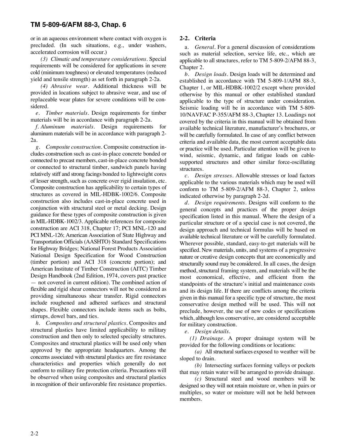or in an aqueous environment where contact with oxygen is **2-2. Criteria** precluded. (In such situations, e.g., under washers, accelerated corrosion will occur.)

*(3) Climatic and temperature considerations.* Special requirements will be considered for applications in severe cold (minimum toughness) or elevated temperatures (reduced yield and tensile strength) as set forth in paragraph 2-2a.

*(4) Abrasive wear.* Additional thickness will be provided in locations subject to abrasive wear, and use of replaceable wear plates for severe conditions will be considered.

*e. Timber materials.* Design requirements for timber materials will be in accordance with paragraph 2-2a.

*f. Aluminum materials.* Design requirements for aluminum materials will be in accordance with paragraph 2- 2a.

*g*. *Composite construction.* Composite construction includes construction such as cast-in-place concrete bonded or connected to precast members, cast-in-place concrete bonded or connected to structural timber, sandwich panels having relatively stiff and strong facings bonded to lightweight cores of lesser strength, such as concrete over rigid insulation, etc. Composite construction has applicability to certain types of structures as covered in MIL-HDBK-1002/6. Composite construction also includes cast-in-place concrete used in conjunction with structural steel or metal decking. Design guidance for these types of composite construction is given in MIL-HDBK-1002/3. Applicable references for composite construction are ACI 318, Chapter 17; PCI MNL-120 and PCI MNL-126; American Association of State Highway and Transportation Officials (AASHTO) Standard Specifications for Highway Bridges; National Forest Products Association National Design Specification for Wood Construction (timber portion) and ACI 318 (concrete portion); and American Institute of Timber Construction (AITC) Timber Design Handbook (2nd Edition, 1974, covers past practice — not covered in current edition). The combined action of flexible and rigid shear connectors will not be considered as providing simultaneous shear transfer. Rigid connectors include roughened and adhered surfaces and structural shapes. Flexible connectors include items such as bolts, stirrups, dowel bars, and ties.

*h. Composites and structural plastics.* Composites and structural plastics have limited applicability to military construction and then only to selected specialty structures. Composites and structural plastics will be used only when approved by the appropriate headquarters. Among the concerns associated with structural plastics are fire resistance characteristics and properties which generally do not conform to military fire protection criteria. Precautions will be observed when using composites and structural plastics in recognition of their unfavorable fire resistance properties.

a. *General.* For a general discussion of considerations such as material selection, service life, etc., which are applicable to all structures, refer to TM 5-809-2/AFM 88-3, Chapter 2.

*b. Design loads.* Design loads will be determined and established in accordance with TM 5-809-1/AFM 88-3, Chapter 1, or MIL-HDBK-1002/2 except where provided otherwise by this manual or other established standard applicable to the type of structure under consideration. Seismic loading will be in accordance with TM 5-809- 10/NAVFAC P-355/AFM 88-3, Chapter 13. Loadings not covered by the criteria in this manual will be obtained from available technical literature, manufacturer's brochures, or will be carefully formulated. In case of any conflict between criteria and available data, the most current acceptable data or practice will be used. Particular attention will be given to wind, seismic, dynamic, and fatigue loads on cablesupported structures and other similar force-oscillating structures.

*c. Design stresses.* Allowable stresses or load factors applicable to the various materials which may be used will conform to TM 5-809-2/AFM 88-3, Chapter 2, unless indicated otherwise by paragraph 2-2d.

*d. Design requirements.* Designs will conform to the general concepts and practices of the proper design specification listed in this manual. Where the design of a particular structure or of a special case is not covered, the design approach and technical formulas will be based on available technical literature or will be carefully formulated. Wherever possible, standard, easy-to-get materials will be specified. New materials, units, and systems of a progressive nature or creative design concepts that are economically and structurally sound may be considered. In all cases, the design method, structural framing system, and materials will be the most economical, effective, and efficient from the standpoints of the structure's initial and maintenance costs and its design life. If there are conflicts among the criteria given in this manual for a specific type of structure, the most conservative design method will be used. This will not preclude, however, the use of new codes or specifications which, although less conservative, are considered acceptable for military construction.

*e. Design details.*

*(1) Drainage.* A proper drainage system will be provided for the following conditions or locations:

*(a)* All structural surfaces exposed to weather will be sloped to drain.

*(b)* Intersecting surfaces forming valleys or pockets that may retain water will be arranged to provide drainage.

*(c)* Structural steel and wood members will be designed so they will not retain moisture or, when in pairs or multiples, so water or moisture will not be held between members.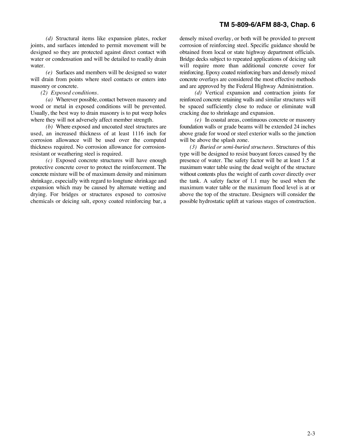joints, and surfaces intended to permit movement will be corrosion of reinforcing steel. Specific guidance should be designed so they are protected against direct contact with obtained from local or state highway department officials.<br>water or condensation and will be detailed to readily drain Bridge decks subject to repeated application water. When the will require more than additional concrete cover for values of  $\mu$  multiple more than additional concrete cover for

will drain from points where steel contacts or enters into concrete overlays are considered the most effective methods masonry or concrete. The concretered and are approved by the Federal Highway Administration.

wood or metal in exposed conditions will be prevented. Usually, the best way to drain masonry is to put weep holes cracking due to shrinkage and expansion. where they will not adversely affect member strength. *(e)* In coastal areas, continuous concrete or masonry

*(b)* Where exposed and uncoated steel structures are foundation walls or grade beams will be extended 24 inches used, an increased thickness of at least 1116 inch for above grade for wood or steel exterior walls so the ju corrosion allowance will be used over the computed will be above the splash zone. thickness required. No corrosion allowance for corrosion- *(3) Buried or semi-buried structures.* Structures of this resistant or weathering steel is required. type will be designed to resist buoyant forces caused by the

*(c)* Exposed concrete structures will have enough presence of water. The safety factor will be at least 1.5 at protective concrete cover to protect the reinforcement. The maximum water table using the dead weight of the s protective concrete cover to protect the reinforcement. The maximum water table using the dead weight of the structure concrete mixture will be of maximum density and minimum without contents plus the weight of earth cover shrinkage, especially with regard to longtune shrinkage and expansion which may be caused by alternate wetting and maximum water table or the maximum flood level is at or drying. For bridges or structures exposed to corrosive above the top of the structure. Designers will consider the

*(d)* Structural items like expansion plates, rocker densely mixed overlay, or both will be provided to prevent Bridge decks subject to repeated applications of deicing salt *(e)* Surfaces and members will be designed so water reinforcing. Epoxy coated reinforcing bars and densely mixed

*(2) Exposed conditions. (d)* Vertical expansion and contraction joints for reinforced concrete retaining walls and similar structures will<br>be spaced sufficiently close to reduce or eliminate wall

above grade for wood or steel exterior walls so the junction

without contents plus the weight of earth cover directly over the tank. A safety factor of 1.1 may be used when the chemicals or deicing salt, epoxy coated reinforcing bar, a possible hydrostatic uplift at various stages of construction.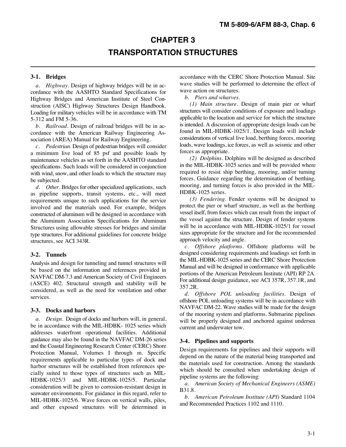## **CHAPTER 3 TRANSPORTATION STRUCTURES**

*a. Highway.* Design of highway bridges will be in accordance with the AASHTO Standard Specifications for Highway Bridges and American Institute of Steel Construction (AISC) Highway Structures Design Handbook. Loading for military vehicles will be in accordance with TM 5-312 and FM 5-36.

*b. Railroad.* Design of railroad bridges will be in accordance with the American Railway Engineering Association (AREA) Manual for Railway Engineering.

*c. Pedestrian.* Design of pedestrian bridges will consider a minimum live load of 85 psf and possible loads by maintenance vehicles as set forth in the AASHTO standard specifications. Such loads will be considered in conjunction with wind, snow, and other loads to which the structure may be subjected.

*d. Other.* Bridges for other specialized applications, such as pipeline supports, transit systems, etc., will meet requirements unique to such applications for the service involved and the materials used. For example, bridges constructed of aluminum will be designed in accordance with the Aluminum Association Specifications for Aluminum Structures using allowable stresses for bridges and similar type structures. For additional guidelines for concrete bridge structures, see ACI 343R.

#### **3-2. Tunnels**

Analysis and design for tunneling and tunnel structures will be based on the information and references provided in NAVFAC DM-7.3 and American Society of Civil Engineers (ASCE) 402. Structural strength and stability will be considered, as well as the need for ventilation and other services.

#### **3-3. Docks and harbors**

*a. Design.* Design of docks and harbors will, in general, be in accordance with the MIL-HDBK- 1025 series which addresses waterfront operational facilities. Additional guidance may also be found in the NAVFAC DM-26 series and the Coastal Engineering Research Center (CERC) Shore Protection Manual, Volumes I through m. Specific requirements applicable to particular types of dock and harbor structures will be established from references specially suited to those types of structures such as MIL-HDBK-1025/3 and MIL-HDBK-1025/5. Particular consideration will be given to corrosion-resistant design in seawater environments. For guidance in this regard, refer to MIL-HDBK-1025/6. Wave forces on vertical walls, piles, and other exposed structures will be determined in

**3-1. Bridges** accordance with the CERC Shore Protection Manual. Site wave studies will be performed to determine the effect of wave action on structures.

*b. Piers and wharves.*

*(1) Main structure.* Design of main pier or wharf structures will consider conditions of exposure and loadings applicable to the location and service for which the structure is intended. A discussion of appropriate design loads can be found in MIL-HDBK-1025/1. Design loads will include considerations of vertical live load, berthing forces, mooring loads, wave loadings, ice forces, as well as seismic and other forces as appropriate.

*(2) Dolphins.* Dolphins will be designed as described in the MIL-HDBK-1025 series and will be provided where required to resist ship berthing, mooring, and/or turning forces. Guidance regarding the determination of berthing, mooring, and turning forces is also provided in the MIL-HDBK-1025 series.

*(3) Fendering.* Fender systems will be designed to protect the pier or wharf structure, as well as the berthing vessel itself, from forces which can result from the impact of the vessel against the structure. Design of fender systems will be in accordance with MIL-HDBK-1025/1 for vessel sizes appropriate for the structure and for the recommended approach velocity and angle.

*c. Offshore platforms.* Offshore platforms will be designed considering requirements and loadings set forth in the MIL-HDBK-1025 series and the CERC Shore Protection Manual and will be designed in conformance with applicable portions of the American Petroleum Institute (API) RP 2A. For additional design guidance, see ACI 357R, 357.1R, and 357.2R.

*d. Offshore POL unloading facilities.* Design of offshore POL unloading systems will be in accordance with NAVFAC DM-22. Wave studies will be made for the design of the mooring system and platforms. Submarine pipelines will be properly designed and anchored against undersea current and underwater tow.

#### **3-4. Pipelines and supports**

Design requirements for pipelines and their supports will depend on the nature of the material being transported and the materials used for construction. Among the standards which should be consulted when undertaking design of pipeline systems are the following:

*a. American Society of Mechanical Engineers (ASME)* B31.8.

*b. American Petroleum Institute (API)* Standard 1104 and Recommended Practices 1102 and 1110.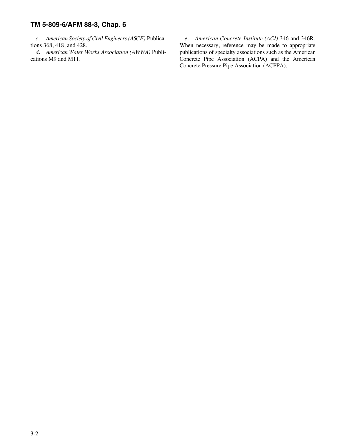*c. American Society of Civil Engineers (ASCE)* Publica- *e. American Concrete Institute (ACI)* 346 and 346R. tions 368, 418, and 428. When necessary, reference may be made to appropriate *d. American Water Works Association (AWWA)* Publi- publications of specialty associations such as the American cations M9 and M11. Concrete Pipe Association (ACPA) and the American Concrete Pipe Association (ACPA) and the American Concrete Pressure Pipe Association (ACPPA).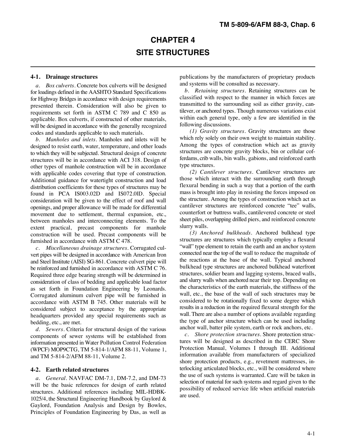## **CHAPTER 4 SITE STRUCTURES**

*a. Box culverts.* Concrete box culverts will be designed for loadings defined in the AASHTO Standard Specifications for Highway Bridges in accordance with design requirements presented therein. Consideration will also be given to requirements set forth in ASTM C 789 and C 850 as applicable. Box culverts, if constructed of other materials, will be designed in accordance with the generally recognized codes and standards applicable to such materials.

*b. Manholes and inlets.* Manholes and inlets will be designed to resist earth, water, temperature, and other loads to which they will be subjected. Structural design of concrete structures will be in accordance with ACI 318. Design of other types of manhole construction will be in accordance with applicable codes covering that type of construction. Additional guidance for watertight construction and load distribution coefficients for these types of structures may be found in PCA IS003.02D and IS072.0lD. Special consideration will be given to the effect of roof and wall openings, and proper allowance will be made for differential movement due to settlement, thermal expansion, etc., between manholes and interconnecting elements. To the extent practical, precast components for manhole construction will be used. Precast components will be furnished in accordance with ASTM C 478.

*c. Miscellaneous drainage structures.* Corrugated culvert pipes will be designed in accordance with American Iron and Steel Institute (AISI) SG-861. Concrete culvert pipe will be reinforced and furnished in accordance with ASTM C 76. Required three edge bearing strength will be determined in consideration of class of bedding and applicable load factor as set forth in Foundation Engineering by Leonards. Corrugated aluminum culvert pipe will be furnished in accordance with ASTM B 745. Other materials will be considered subject to acceptance by the appropriate headquarters provided any special requirements such as bedding, etc., are met.

*d. Sewers.* Criteria for structural design of the various components of sewer systems will be established from information presented in Water Pollution Control Federation (WPCF) MOP9CTG, TM 5-814-1/AFM 88-11, Volume 1, and TM 5-814-2/AFM 88-11, Volume 2.

#### **4-2. Earth related structures**

*a. General.* NAVFAC DM-7.1, DM-7.2, and DM-73 will be the basic references for design of earth related structures. Additional references including MIL-HDBK-1025/4, the Structural Engineering Handbook by Gaylord & Gaylord, Foundation Analysis and Design by Bowles, Principles of Foundation Engineering by Das, as well as

**4-1. Drainage structures** publications by the manufacturers of proprietary products and systems will be consulted as necessary.

> *b. Retaining structures.* Retaining structures can be classified with respect to the manner in which forces are transmitted to the surrounding soil as either gravity, cantilever, or anchored types. Though numerous variations exist within each general type, only a few are identified in the following discussions.

> *(1) Gravity structures.* Gravity structures are those which rely solely on their own weight to maintain stability. Among the types of construction which act as gravity structures are concrete gravity blocks, bin or cellular cofferdams, crib walls, bin walls, gabions, and reinforced earth type structures.

> *(2) Cantilever structures.* Cantilever structures are those which interact with the surrounding earth through flexural bending in such a way that a portion of the earth mass is brought into play in resisting the forces imposed on the structure. Among the types of construction which act as cantilever structures are reinforced concrete "tee" walls, counterfort or buttress walls, cantilevered concrete or steel sheet piles, overlapping drilled piers, and reinforced concrete slurry walls.

> *(3) Anchored bulkheads.* Anchored bulkhead type structures are structures which typically employ a flexural "wall" type element to retain the earth and an anchor system connected near the top of the wall to reduce the magnitude of the reactions at the base of the wall. Typical anchored bulkhead type structures are anchored bulkhead waterfront structures, soldier beam and lagging systems, braced walls, and slurry walls when anchored near their top. Depending on the characteristics of the earth materials, the stiffness of the wall, etc., the base of the wall of such structures may be considered to be rotationally fixed to some degree which results in a reduction in the required flexural strength for the wall. There are also a number of options available regarding the type of anchor structure which can be used including anchor wall, batter pile system, earth or rock anchors, etc.

> *c. Shore protection structures.* Shore protection structures will be designed as described in the CERC Shore Protection Manual, Volumes I through III. Additional information available from manufacturers of specialized shore protection products, e.g., revetment mattresses, interlocking articulated blocks, etc., will be considered where the use of such systems is warranted. Care will be taken in selection of material for such systems and regard given to the possibility of reduced service life when artificial materials are used.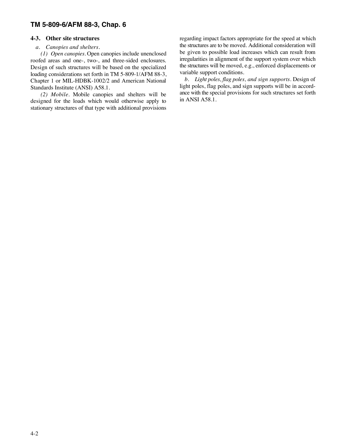#### *a. Canopies and shelters.*

*(1) Open canopies.* Open canopies include unenclosed roofed areas and one-, two-, and three-sided enclosures. Design of such structures will be based on the specialized loading considerations set forth in TM 5-809-1/AFM 88-3, Chapter 1 or MIL-HDBK-1002/2 and American National Standards Institute (ANSI) A58.1.

*(2) Mobile.* Mobile canopies and shelters will be designed for the loads which would otherwise apply to stationary structures of that type with additional provisions

**4-3. Other site structures** regarding impact factors appropriate for the speed at which the structures are to be moved. Additional consideration will be given to possible load increases which can result from irregularities in alignment of the support system over which the structures will be moved, e.g., enforced displacements or variable support conditions.

> *b. Light poles, flag poles, and sign supports.* Design of light poles, flag poles, and sign supports will be in accordance with the special provisions for such structures set forth in ANSI A58.1.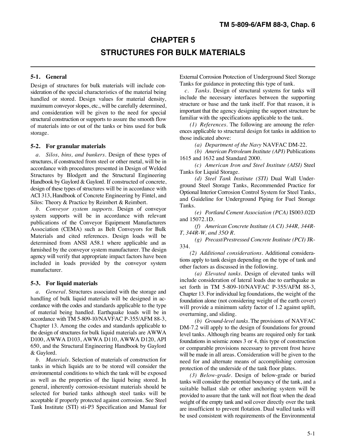## **CHAPTER 5 STRUCTURES FOR BULK MATERIALS**

Design of structures for bulk materials will include consideration of the special characteristics of the material being handled or stored. Design values for material density, maximum conveyor slopes, etc., will be carefully determined, and consideration will be given to the need for special structural construction or supports to assure the smooth flow of materials into or out of the tanks or bins used for bulk storage.

#### **5-2. For granular materials**

*a. Silos, bins, and bunkers.* Design of these types of structures, if constructed from steel or other metal, will be in accordance with procedures presented in Design of Welded Structures by Blodgett and the Structural Engineering Handbook by Gaylord & Gaylord. If constructed of concrete, design of these types of structures will be in accordance with ACI 313, Handbook of Concrete Engineering by Fintel, and Silos: Theory & Practice by Reimbert & Reimbert.

*b. Conveyor system supports.* Design of conveyor system supports will be in accordance with relevant publications of the Conveyor Equipment Manufacturers Association (CEMA) such as Belt Conveyors for Bulk Materials and cited references. Design loads will be determined from ANSI A58.1 where applicable and as furnished by the conveyor system manufacturer. The design agency will verify that appropriate impact factors have been included in loads provided by the conveyor system manufacturer.

#### **5-3. For liquid materials**

*a. General.* Structures associated with the storage and handling of bulk liquid materials will be designed in accordance with the codes and standards applicable to the type of material being handled. Earthquake loads will be in accordance with TM 5-809-10/NAVFAC P-355/AFM 88-3, Chapter 13. Among the codes and standards applicable to the design of structures for bulk liquid materials are AWWA D100, AWWA D103, AWWA D110, AWWA D120, API 650, and the Structural Engineering Handbook by Gaylord & Gaylord.

*b. Materials.* Selection of materials of construction for tanks in which liquids are to be stored will consider the environmental conditions to which the tank will be exposed as well as the properties of the liquid being stored. In general, inherently corrosion-resistant materials should be selected for buried tanks although steel tanks will be acceptable if properly protected against corrosion. See Steel Tank Institute (STI) sti-P3 Specification and Manual for

**5-1. General** External Corrosion Protection of Underground Steel Storage Tanks for guidance in protecting this type of tank.

*c. Tanks.* Design of structural systems for tanks will include the necessary interfaces between the supporting structure or base and the tank itself. For that reason, it is important that the agency designing the support structure be familiar with the specifications applicable to the tank.

*(1) References.* The following are amoung the references applicable to structural design fot tanks in addition to those indicated above:

*(a) Department of the Navy* NAVFAC DM-22.

*(b) American Petroleum Institute (API)* Publications 1615 and 1632 and Standard 2000.

*(c) American Iron and Steel Institute (AISI)* Steel Tanks for Liquid Storage.

*(d) Steel Tank Institute (STI)* Dual Wall Underground Steel Storage Tanks, Recommended Practice for Optional Interior Corrosion Control System for Steel Tanks, and Guideline for Underground Piping for Fuel Storage Tanks.

*(e) Portland Cement Association (PCA)* IS003.02D and 15072.1D.

*(f) American Concrete Institute (A CI) 344R, 344R-T, 344R-W, and 35O R.*

*(g) Precast/Prestressed Concrete Institute (PCI)* JR-334.

*(2) Additional considerations.* Additional considerations apply to tank design depending on the type of tank and other factors as discussed in the following.

*(a) Elevated tanks.* Design of elevated tanks will include consideration of lateral loads due to earthquake as set forth in TM 5-809-10/NAVFAC P-355/AFM 88-3, Chapter 13. For individual leg foundations, the weight of the foundation alone (not considering weight of the earth cover) will provide a minimum safety factor of 1.2 against uplift, overturning, and sliding.

*(b) Ground-level tanks.* The provisions of NAVFAC DM-7.2 will apply to the design of foundations for ground level tanks. Although ring beams are required only for tank foundations in seismic zones 3 or 4, this type of construction or comparable provisions necessary to prevent frost heave will be made in all areas. Consideration will be given to the need for and alternate means of accomplishing corrosion protection of the underside of the tank floor plates.

*(3) Below-grade.* Design of below-grade or buried tanks will consider the potential bouyancy of the tank, and a suitable ballast slab or other anchoring system will be provided to assure that the tank will not float when the dead weight of the empty tank and soil cover directly over the tank are insufficient to prevent flotation. Dual walled tanks will be used consistent with requirements of the Environmental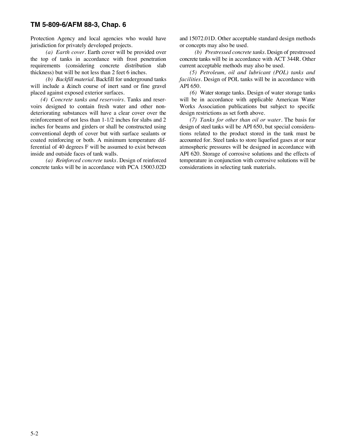Protection Agency and local agencies who would have and 15072.01D. Other acceptable standard design methods jurisdiction for privately developed projects. or concepts may also be used.

the top of tanks in accordance with frost penetration requirements (considering concrete distribution slab current acceptable methods may also be used.<br>thickness) but will be not less than 2 feet 6 inches. (5) Petroleum, oil and lubricant (POL

will include a &inch course of inert sand or fine gravel API 650.<br>placed against exposed exterior surfaces. (6) \,

deteriorating substances will have a clear cover over the design restrictions as set forth above. reinforcement of not less than 1-1/2 inches for slabs and 2 *(7) Tanks for other than oil or water.* The basis for inches for beams and girders or shall be constructed using design of steel tanks will be API 650, but special considera-<br>conventional depth of cover but with surface sealants or tions related to the product stored in the t conventional depth of cover but with surface sealants or coated reinforcing or both. A minimum temperature dif-<br>ferential of 40 degrees F will be assumed to exist between atmospheric pressures will be designed in accordance with inside and outside faces of tank walls. API 620. Storage of corrosive solutions and the effects of

concrete tanks will be in accordance with PCA 15003.02D

*(a) Earth cover.* Earth cover will be provided over *(b) Prestressed concrete tanks.* Design of prestressed

the sess) but will be not less than 2 feet 6 inches. *(5) Petroleum, oil and lubricant (POL) tanks and*<br>(b) *Backfill material*. Backfill for underground tanks facilities. Design of POL tanks will be in accordance with *facilities*. Design of POL tanks will be in accordance with

ed against exposed exterior surfaces. *(6)* Water storage tanks. Design of water storage tanks (4) Concrete tanks and reservoirs. Tanks and reservoirs will be in accordance with applicable American Water (4) *Concrete tanks and reservoirs*. Tanks and reser-<br>voirs designed to contain fresh water and other non-<br>Works Association publications but subject to specific Works Association publications but subject to specific

atmospheric pressures will be designed in accordance with *(a) Reinforced concrete tanks*. Design of reinforced temperature in conjunction with corrosive solutions will be te tanks will be in accordance with PCA 15003.02D considerations in selecting tank materials.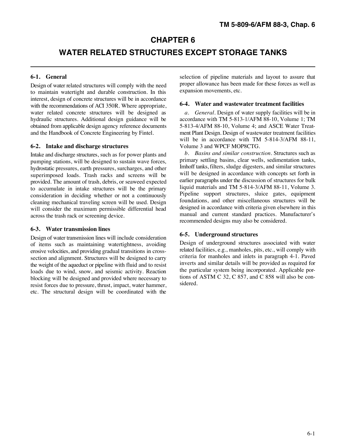## **CHAPTER 6**

## **WATER RELATED STRUCTURES EXCEPT STORAGE TANKS**

Design of water related structures will comply with the need to maintain watertight and durable construction. In this interest, design of concrete structures will be in accordance with the recommendations of ACI 350R. Where appropriate, water related concrete structures will be designed as *a. General*. Design of water supply facilities will be in<br>hydraulic structures. Additional design guidance will be accordance with TM 5-813-1/AFM 88-10. Volume 1: TM hydraulic structures. Additional design guidance will be obtained from applicable design agency reference documents 5-813-4/AFM 88-10, Volume 4; and ASCE Water Treatand the Handbook of Concrete Engineering by Fintel. ment Plant Design. Design of wastewater treatment facilities

#### **6-2. Intake and discharge structures** Volume 3 and WPCF MOP8CTG.

Intake and discharge structures, such as for power plants and pumping stations, will be designed to sustain wave forces, hydrostatic pressures, earth pressures, surcharges, and other superimposed loads. Trash racks and screens will be provided. The amount of trash, debris, or seaweed expected to accumulate in intake structures will be the primary consideration in deciding whether or not a continuously cleaning mechanical traveling screen will be used. Design will consider the maximum permissible differential head across the trash rack or screening device.

#### **6-3. Water transmission lines**

Design of water transmission lines will include consideration of items such as maintaining watertightness, avoiding erosive velocities, and providing gradual transitions in crosssection and alignment. Structures will be designed to carry the weight of the aqueduct or pipeline with fluid and to resist loads due to wind, snow, and seismic activity. Reaction blocking will be designed and provided where necessary to resist forces due to pressure, thrust, impact, water hammer, etc. The structural design will be coordinated with the

**6-1. General** selection of pipeline materials and layout to assure that proper allowance has been made for these forces as well as expansion movements, etc.

#### **6-4. Water and wastewater treatment facilities**

will be in accordance with TM 5-814-3/AFM 88-11,

*b. Basins and similar construction.* Structures such as primary settling basins, clear wells, sedimentation tanks, Imhoff tanks, filters, sludge digesters, and similar structures will be designed in accordance with concepts set forth in earlier paragraphs under the discussion of structures for bulk liquid materials and TM 5-814-3/AFM 88-11, Volume 3. Pipeline support structures, sluice gates, equipment foundations, and other miscellaneous structures will be designed in accordance with criteria given elsewhere in this manual and current standard practices. Manufacturer's recommended designs may also be considered.

#### **6-5. Underground structures**

Design of underground structures associated with water related facilities, e.g., manholes, pits, etc., will comply with criteria for manholes and inlets in paragraph 4-1. Paved inverts and similar details will be provided as required for the particular system being incorporated. Applicable portions of ASTM C 32, C 857, and C 858 will also be considered.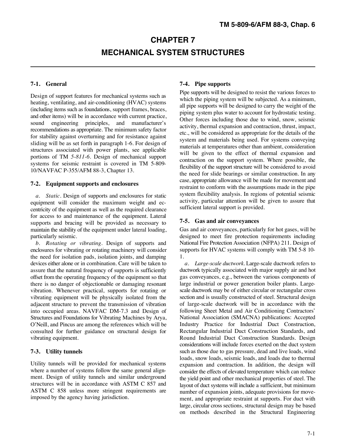## **CHAPTER 7 MECHANICAL SYSTEM STRUCTURES**

heating, ventilating, and air-conditioning (HVAC) systems (including items such as foundations, support frames, braces, and other items) will be in accordance with current practice, sound engineering principles, and manufacturer's recommendations as appropriate. The minimum safety factor for stability against overturning and for resistance against sliding will be as set forth in paragraph 1-6. For design of structures associated with power plants, see applicable portions of TM *5-811-6.* Design of mechanical support systems for seismic restraint is covered in TM 5-809- 10/NAVFAC P-355/AFM 88-3, Chapter 13.

#### **7-2. Equipment supports and enclosures**

*a. Static.* Design of supports and enclosures for static equipment will consider the maximum weight and eccentricity of the equipment as well as the required clearance for access to and maintenance of the equipment. Lateral supports and bracing will be provided as necessary to maintain the stability of the equipment under lateral loading, particularly seismic.

*b. Rotating or vibrating.* Design of supports and enclosures for vibrating or rotating machinery will consider the need for isolation pads, isolation joints, and damping devices either alone or in combination. Care will be taken to assure that the natural frequency of supports is sufficiently offset from the operating frequency of the equipment so that there is no danger of objectionable or damaging resonant vibration. Whenever practical, supports for rotating or vibrating equipment will be physically isolated from the adjacent structure to prevent the transmission of vibration into occupied areas. NAVFAC DM-7.3 and Design of Structures and Foundations for Vibrating Machines by Arya, O\*Neill, and Pincus are among the references which will be consulted for further guidance on structural design for vibrating equipment.

#### **7-3. Utility tunnels**

Utility tunnels will be provided for mechanical systems where a number of systems follow the same general alignment. Design of utility tunnels and similar underground structures will be in accordance with ASTM C 857 and ASTM C 858 unless more stringent requirements are imposed by the agency having jurisdiction.

### **7-1. General 7-4. Pipe supports**

Pipe supports will be designed to resist the various forces to Design of support features for mechanical systems such as  $\frac{p}{p}$ which the piping system will be subjected. As a minimum, all pipe supports will be designed to carry the weight of the piping system plus water to account for hydrostatic testing. Other forces including those due to wind, snow, seismic activity, thermal expansion and contraction, thrust, impact, etc., will be considered as appropriate for the details of the system and materials being used. For systems conveying materials at temperatures other than ambient, consideration will be given to the effect of thermal expansion and contraction on the support system. Where possible, the flexibility of the support structure will be considered to avoid the need for slide bearings or similar construction. In any case, appropriate allowance will be made for movement and restraint to conform with the assumptions made in the pipe system flexibility analysis. In regions of potential seismic activity, particular attention will be given to assure that sufficient lateral support is provided.

#### **7-5. Gas and air conveyances**

Gas and air conveyances, particularly for hot gases, will be designed to meet fire protection requirements including National Fire Protection Association (NFPA) 211. Design of supports for HVAC systems will comply with TM 5-8 10- 1.

*a. Large-scale ductwork.* Large-scale ductwork refers to ductwork typically associated with major supply air and hot gas conveyances, e.g., between the various components of large industrial or power generation boiler plants. Largescale ductwork may be of either circular or rectangular cross section and is usually constructed of steel. Structural design of large-scale ductwork will be in accordance with the following Sheet Metal and Air Conditioning Contractors' National Association (SMACNA) publications: Accepted Industry Practice for Industrial Duct Construction, Rectangular Industrial Duct Construction Standards, and Round Industrial Duct Construction Standards. Design considerations will include forces exerted on the duct system such as those due to gas pressure, dead and live loads, wind loads, snow loads, seismic loads, and loads due to thermal expansion and contraction. In addition, the design will consider the effects of elevated temperature which can reduce the yield point and other mechanical properties of steel. The layout of duct systems will include a sufficient, but minimum number of expansion joints, adequate provisions for movement, and appropriate restraint at supports. For duct with large, circular cross sections, structural design may be based on methods described in the Structural Engineering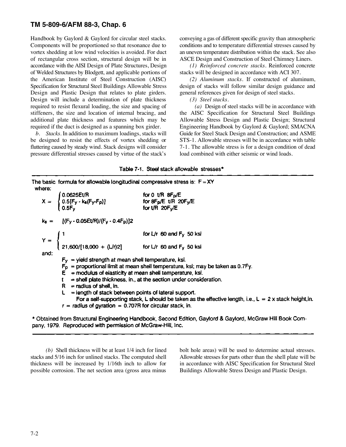Handbook by Gaylord & Gaylord for circular steel stacks. conveying a gas of different specific gravity than atmospheric Components will be proportioned so that resonance due to conditions and to temperature differential stresses caused by vortex shedding at low wind velocities is avoided. For duct an uneven temperature distribution within the stack. See also of rectangular cross section, structural design will be in ASCE Design and Construction of Steel Chimney Liners. accordance with the AISI Design of Plate Structures, Design *(1) Reinforced concrete stacks.* Reinforced concrete of Welded Structures by Blodgett, and applicable portions of stacks will be designed in accordance with ACI 307. the American Institute of Steel Construction (AISC) *(2) Aluminum stacks.* If constructed of aluminum, Specification for Structural Steel Buildings Allowable Stress design of stacks will follow similar design guidance and Design and Plastic Design that relates to plate girders. general references given for design of steel stacks. Design will include a determination of plate thickness *(3) Steel stacks.* required to resist flexural loading, the size and spacing of *(a)* Design of steel stacks will be in accordance with stiffeners, the size and location of internal bracing, and the AISC Specification for Structural Steel Buildings additional plate thickness and features which may be Allowable Stress Design and Plastic Design; Structural required if the duct is designed as a spanning box girder. Engineering Handbook by Gaylord & Gaylord; SMACNA

be designed to resist the effects of vortex shedding or STS-1. Allowable stresses will be in accordance with table fluttering caused by steady wind. Stack designs will consider 7-1. The allowable stress is for a design condition of dead pressure differential stresses caused by virtue of the stack\*s load combined with either seismic or wind loads.

*b. Stacks.* In addition to maximum loadings, stacks will Guide for Steel Stack Design and Construction; and ASME

|  | Table 7-1. Steel stack allowable stresses <sup>*</sup> |  |
|--|--------------------------------------------------------|--|
|--|--------------------------------------------------------|--|

The basic formula for allowable longitudinal compressive stress is:  $F = XY$ where:  $\left\{ \begin{matrix} 0.0625 E t / R \ 0.5 [F_{\rm y} \cdot k_{\rm s} (F_{\rm y} \cdot F_{\rm p})] \ 0.5 F_{\rm y} \end{matrix} \right.$ for 0  $\text{t/R}$  8F<sub>o</sub>/E  $\mathsf{X} =$ for  $8Fp/E$  t/R  $20Fy/E$ for  $t/R$  20 $F_y/E$  $k_s = [(F_y - 0.05Et/R)/(F_y - 0.4F_p)]2$ Y =  $\begin{cases} 1 & \text{for L/r 60 and F<sub>y</sub> 50 ksi} \\ 21,600/[18,000 + (L/r)2] & \text{for L/r 60 and F<sub>y</sub> 50 ksi} \end{cases}$ and:  $F_Y$  = yield strength at mean shell temperature, ksi.  $F<sub>D</sub>$  = proportional limit at mean shell temperature, ksi; may be taken as 0.7Fy.  $E =$  modulus of elasticity at mean shell temperature, ksi.  $t =$  shell plate thickness, in., at the section under consideration.  $R =$  radius of shell, in.  $L =$  length of stack between points of lateral support. For a self-supporting stack, L should be taken as the effective length, i.e.,  $L = 2x$  stack height, in.  $r =$  radius of gyration = 0.707R for circular stack, in.

\* Obtained from Structural Engineering Handbook, Second Edition, Gaylord & Gaylord, McGraw Hill Book Company, 1979. Reproduced with permission of McGraw-Hill, Inc.

stacks and 5/16 inch for unlined stacks. The computed shell Allowable stresses for parts other than the shell plate will be thickness will be increased by 1/16th inch to allow for in accordance with AISC Specification for Structural Steel possible corrosion. The net section area (gross area minus Buildings Allowable Stress Design and Plastic Design.

*(b)* Shell thickness will be at least 1/4 inch for lined bolt hole areas) will be used to determine actual stresses.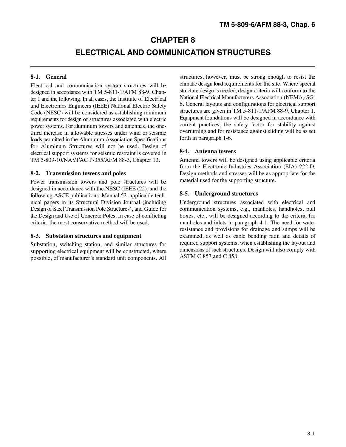## **CHAPTER 8**

## **ELECTRICAL AND COMMUNICATION STRUCTURES**

Electrical and communication system structures will be designed in accordance with TM 5-811-1/AFM 88-9, Chapter 1 and the following. In all cases, the Institute of Electrical and Electronics Engineers (IEEE) National Electric Safety Code (NESC) will be considered as establishing minimum requirements for design of structures associated with electric power systems. For aluminum towers and antennas, the onethird increase in allowable stresses under wind or seismic loads permitted in the Aluminum Association Specifications for Aluminum Structures will not be used. Design of electrical support systems for seismic restraint is covered in TM 5-809-10/NAVFAC P-355/AFM 88-3, Chapter 13. Antenna towers will be designed using applicable criteria

Power transmission towers and pole structures will be designed in accordance with the NESC (IEEE (22), and the following ASCE publications: Manual 52, applicable technical papers in its Structural Division Journal (including Underground structures associated with electrical and<br>Design of Steel Transmission Pole Structures), and Guide for communication systems, e.g., manholes, handholes Design of Steel Transmission Pole Structures), and Guide for communication systems, e.g., manholes, handholes, pull the Design and Use of Concrete Poles. In case of conflicting boxes, etc., will be designed according to th criteria, the most conservative method will be used. manholes and inlets in paragraph 4-1. The need for water

Substation, switching station, and similar structures for supporting electrical equipment will be constructed, where possible, of manufacturer's standard unit components. All

**8-1.** General structures, however, must be strong enough to resist the climatic design load requirements for the site. Where special structure design is needed, design criteria will conform to the National Electrical Manufacturers Association (NEMA) SG-6. General layouts and configurations for electrical support structures are given in TM 5-811-1/AFM 88-9, Chapter 1. Equipment foundations will be designed in accordance with current practices; the safety factor for stability against overturning and for resistance against sliding will be as set forth in paragraph 1-6.

#### **8-4. Antenna towers**

**8-2. Transmission towers and poles** Design methods and stresses will be as appropriate for the from the Electronic Industries Association (EIA) 222-D. material used for the supporting structure.

### **8-5. Underground structures**

boxes, etc., will be designed according to the criteria for 8-3. Substation structures and equipment examined, as well as cable bending radii and details of resistance and provisions for drainage and sumps will be required support systems, when establishing the layout and dimensions of such structures. Design will also comply with ASTM C 857 and C 858.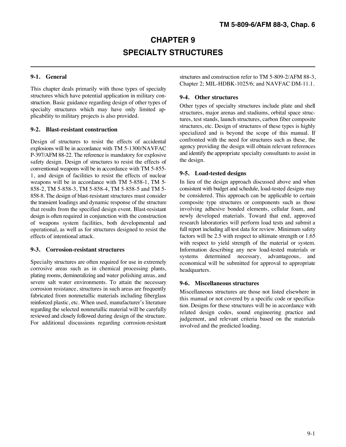## **CHAPTER 9 SPECIALTY STRUCTURES**

This chapter deals primarily with those types of specialty structures which have potential application in military construction. Basic guidance regarding design of other types of specialty structures which may have only limited applicability to military projects is also provided.

#### **9-2. Blast-resistant construction**

Design of structures to resist the effects of accidental explosions will be in accordance with TM 5-1300/NAVFAC P-397/AFM 88-22. The reference is mandatory for explosive safety design. Design of structures to resist the effects of conventional weapons will be in accordance with TM 5-855- 1, and design of facilities to resist the effects of nuclear weapons will be in accordance with TM 5-858-1, TM 5- 858-2, TM 5-858-3, TM 5-858-4, TM 5-858-5 and TM 5- 858-8. The design of blast-resistant structures must consider the transient loadings and dynamic response of the structure that results from the specified design event. Blast-resistant design is often required in conjunction with the construction of weapons system facilities, both developmental and operational, as well as for structures designed to resist the effects of intentional attack.

#### **9-3. Corrosion-resistant structures**

Specialty structures are often required for use in extremely corrosive areas such as in chemical processing plants, plating rooms, demineralizing and water polishing areas, and severe salt water environments. To attain the necessary corrosion resistance, structures in such areas are frequently fabricated from nonmetallic materials including fiberglass reinforced plastic, etc. When used, manufacturer's literature regarding the selected nonmetallic material will be carefully reviewed and closely followed during design of the structure. For additional discussions regarding corrosion-resistant

**9-1. General** structures and construction refer to TM 5-809-2/AFM 88-3, Chapter 2; MIL-HDBK-1025/6; and NAVFAC DM-11.1.

### **9-4. Other structures**

Other types of specialty structures include plate and shell structures, major arenas and stadiums, orbital space structures, test stands, launch structures, carbon fiber composite structures, etc. Design of structures of these types is highly specialized and is beyond the scope of this manual. If confronted with the need for structures such as these, the agency providing the design will obtain relevant references and identify the appropriate specialty consultants to assist in the design.

#### **9-5. Load-tested designs**

In lieu of the design approach discussed above and when consistent with budget and schedule, load-tested designs may be considered. This approach can be applicable to certain composite type structures or components such as those involving adhesive bonded elements, cellular foam, and newly developed materials. Toward that end, approved research laboratories will perform load tests and submit a full report including all test data for review. Minimum safety factors will be 2.5 with respect to ultimate strength or 1.65 with respect to yield strength of the material or system. Information describing any new load-tested materials or systems determined necessary, advantageous, and economical will be submitted for approval to appropriate headquarters.

#### **9-6. Miscellaneous structures**

Miscellaneous structures are those not listed elsewhere in this manual or not covered by a specific code or specification. Designs for these structures will be in accordance with related design codes, sound engineering practice and judgement, and relevant criteria based on the materials involved and the predicted loading.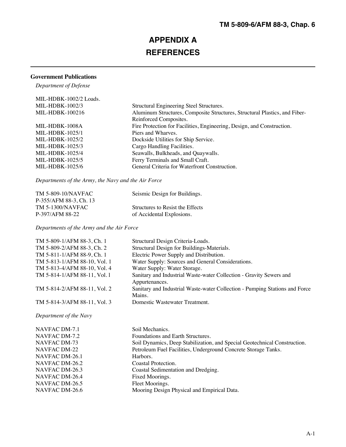## **APPENDIX A REFERENCES**

### **Government Publications**

*Department of Defense*

| MIL-HDBK-1002/2 Loads. |                                                                            |
|------------------------|----------------------------------------------------------------------------|
| $MIL-HDBK-1002/3$      | Structural Engineering Steel Structures.                                   |
| MIL-HDBK-100216        | Aluminum Structures, Composite Structures, Structural Plastics, and Fiber- |
|                        | Reinforced Composites.                                                     |
| MIL-HDBK-1008A         | Fire Protection for Facilities, Engineering, Design, and Construction.     |
| $MIL-HDBK-1025/1$      | Piers and Wharves.                                                         |
| $MIL-HDBK-1025/2$      | Dockside Utilities for Ship Service.                                       |
| $MIL-HDBK-1025/3$      | Cargo Handling Facilities.                                                 |
| $MIL-HDBK-1025/4$      | Seawalls, Bulkheads, and Quaywalls.                                        |
| $MIL-HDBK-1025/5$      | Ferry Terminals and Small Craft.                                           |
| MIL-HDBK-1025/6        | General Criteria for Waterfront Construction.                              |

*Departments of the Army, the Navy and the Air Force*

| TM 5-809-10/NAVFAC     | Seismic Design for Buildings.    |
|------------------------|----------------------------------|
| P-355/AFM 88-3, Ch. 13 |                                  |
| TM 5-1300/NAVFAC       | Structures to Resist the Effects |
| P-397/AFM 88-22        | of Accidental Explosions.        |

*Departments of the Army and the Air Force*

| TM 5-809-1/AFM 88-3, Ch. 1                                       | Structural Design Criteria-Loads.                                                     |
|------------------------------------------------------------------|---------------------------------------------------------------------------------------|
| TM 5-809-2/AFM 88-3, Ch. 2                                       | Structural Design for Buildings-Materials.                                            |
| TM 5-811-1/AFM 88-9, Ch. 1                                       | Electric Power Supply and Distribution.                                               |
| TM 5-813-1/AFM 88-10, Vol. 1                                     | Water Supply: Sources and General Considerations.                                     |
| TM 5-813-4/AFM 88-10, Vol. 4                                     | Water Supply: Water Storage.                                                          |
| TM 5-814-1/AFM 88-11, Vol. 1                                     | Sanitary and Industrial Waste-water Collection - Gravity Sewers and<br>Appurtenances. |
| TM 5-814-2/AFM 88-11, Vol. 2                                     | Sanitary and Industrial Waste-water Collection - Pumping Stations and Force<br>Mains. |
| TM 5-814-3/AFM 88-11, Vol. 3                                     | Domestic Wastewater Treatment.                                                        |
| $\mathbf{r}$ $\mathbf{r}$ $\mathbf{r}$ $\mathbf{r}$ $\mathbf{r}$ |                                                                                       |

*Department of the Navy*

| NAVFAC DM-7.1  | Soil Mechanics.                                                           |
|----------------|---------------------------------------------------------------------------|
| NAVFAC DM-7.2  | Foundations and Earth Structures.                                         |
| NAVFAC DM-73   | Soil Dynamics, Deep Stabilization, and Special Geotechnical Construction. |
| NAVFAC DM-22   | Petroleum Fuel Facilities, Underground Concrete Storage Tanks.            |
| NAVFAC DM-26.1 | Harbors.                                                                  |
| NAVFAC DM-26.2 | Coastal Protection.                                                       |
| NAVFAC DM-26.3 | Coastal Sedimentation and Dredging.                                       |
| NAVFAC DM-26.4 | Fixed Moorings.                                                           |
| NAVFAC DM-26.5 | Fleet Moorings.                                                           |
| NAVFAC DM-26.6 | Mooring Design Physical and Empirical Data.                               |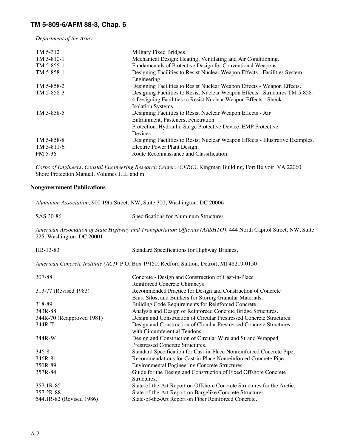*Department of the Army*

| TM 5-312<br>TM 5-810-1 | Military Fixed Bridges.<br>Mechanical Design: Heating, Ventilating and Air Conditioning.                                                                                        |
|------------------------|---------------------------------------------------------------------------------------------------------------------------------------------------------------------------------|
| $TM$ 5-855-1           | Fundamentals of Protective Design for Conventional Weapons                                                                                                                      |
| TM 5-858-1             | Designing Facilities to Resist Nuclear Weapon Effects - Facilities System<br>Engineering.                                                                                       |
| TM 5-858-2             | Designing Facilities to Resist Nuclear Weapon Effects - Weapon Effects.                                                                                                         |
| TM 5-858-3             | Designing Facilities to Resist Nuclear Weapon Effects - Structures TM 5-858-<br>4 Designing Facilities to Resist Nuclear Weapon Effects - Shock<br>Isolation Systems.           |
| TM 5-858-5             | Designing Facilities to Resist Nuclear Weapon Effects - Air<br>Entrainment, Fasteners, Penetration<br>Protection, Hydraulic-Surge Protective Device, EMP Protective<br>Devices. |
| TM 5-858-8             | Designing Facilities to Resist Nuclear Weapon Effects - Illustrative Examples.                                                                                                  |
| TM 5-811-6             | Electric Power Plant Design.                                                                                                                                                    |
| FM 5-36                | Route Reconnaissance and Classification.                                                                                                                                        |

*Corps of Engineers, Coastal Engineering Research Center, (CERC),* Kingman Building, Fort Belvoir, VA 22060 Shore Protection Manual, Volumes I, II, and m.

### **Nongovernment Publications**

*Aluminum Association,* 900 19th Street, NW, Suite 300, Washington, DC 20006

| SAS 30-86 | Specifications for Aluminum Structures |
|-----------|----------------------------------------|
|-----------|----------------------------------------|

*American Association of State Highway and Transportation Officials (AASHTO),* 444 North Capitol Street, NW, Suite 225, Washington, DC 20001

| HB-13-83                  | Standard Specifications for Highway Bridges,                                                         |
|---------------------------|------------------------------------------------------------------------------------------------------|
|                           | American Concrete Institute (ACI), P.O. Box 19150, Redford Station, Detroit, MI 48219-0150           |
| 307-88                    | Concrete - Design and Construction of Cast-in-Place                                                  |
|                           | Reinforced Concrete Chimneys.                                                                        |
| 313-77 (Revised 1983)     | Recommended Practice for Design and Construction of Concrete                                         |
|                           | Bins, Silos, and Bunkers for Storing Granular Materials.                                             |
| 318-89                    | Building Code Requirements for Reinforced Concrete.                                                  |
| 343R-88                   | Analysis and Design of Reinforced Concrete Bridge Structures.                                        |
| 344R-70 (Reapproved 1981) | Design and Construction of Circular Prestressed Concrete Structures.                                 |
| 344R-T                    | Design and Construction of Circular Prestressed Concrete Structures<br>with Circumferential Tendons. |
| 344R-W                    | Design and Construction of Circular Wire and Strand Wrapped<br>Prestressed Concrete Structures.      |
| 346-81                    | Standard Specification for Cast-in-Place Nonreinforced Concrete Pipe.                                |
| 346R-81                   | Recommendations for Cast-in-Place Nonreinforced Concrete Pipe.                                       |
| 350R-89                   | Environmental Engineering Concrete Structures.                                                       |
| 357R-84                   | Guide for the Design and Construction of Fixed Offshore Concrete<br>Structures.                      |
| 357.1R-85                 | State-of-the-Art Report on Offshore Concrete Structures for the Arctic.                              |
| 357.2R-88                 | State-of-the-Art Report on Bargelike Concrete Structures.                                            |
| 544.1R-82 (Revised 1986)  | State-of-the-Art Report on Fiber Reinforced Concrete.                                                |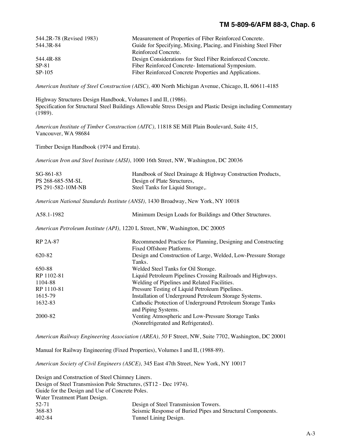| 544.2R-78 (Revised 1983) | Measurement of Properties of Fiber Reinforced Concrete.          |
|--------------------------|------------------------------------------------------------------|
| 544.3R-84                | Guide for Specifying, Mixing, Placing, and Finishing Steel Fiber |
|                          | Reinforced Concrete.                                             |
| 544.4R-88                | Design Considerations for Steel Fiber Reinforced Concrete.       |
| SP-81                    | Fiber Reinforced Concrete-International Symposium.               |
| SP-105                   | Fiber Reinforced Concrete Properties and Applications.           |
|                          |                                                                  |

*American Institute of Steel Construction (AISC),* 400 North Michigan Avenue, Chicago, IL 60611-4185

Highway Structures Design Handbook, Volumes I and II, (1986). Specification for Structural Steel Buildings Allowable Stress Design and Plastic Design including Commentary (1989).

*American Institute of Timber Construction (AITC),* 11818 SE Mill Plain Boulevard, Suite 415, Vancouver, WA 98684

Timber Design Handbook (1974 and Errata).

*American Iron and Steel Institute (AISI),* 1000 16th Street, NW, Washington, DC 20036

| $SG-861-83$       | Handbook of Steel Drainage & Highway Construction Products, |
|-------------------|-------------------------------------------------------------|
| PS 268-685-5M-SL  | Design of Plate Structures,                                 |
| PS 291-582-10M-NB | Steel Tanks for Liquid Storage,.                            |

*American National Standards Institute (ANSI),* 1430 Broadway, New York, NY 10018

A58.1-1982 Minimum Design Loads for Buildings and Other Structures.

*American Petroleum Institute (API),* 1220 L Street, NW, Washington, DC 20005

| RP 2A-87   | Recommended Practice for Planning, Designing and Constructing<br>Fixed Offshore Platforms. |
|------------|--------------------------------------------------------------------------------------------|
| 620-82     | Design and Construction of Large, Welded, Low-Pressure Storage                             |
|            | Tanks.                                                                                     |
| 650-88     | Welded Steel Tanks for Oil Storage.                                                        |
| RP 1102-81 | Liquid Petroleum Pipelines Crossing Railroads and Highways.                                |
| 1104-88    | Welding of Pipelines and Related Facilities.                                               |
| RP 1110-81 | Pressure Testing of Liquid Petroleum Pipelines.                                            |
| 1615-79    | Installation of Underground Petroleum Storage Systems.                                     |
| 1632-83    | Cathodic Protection of Underground Petroleum Storage Tanks                                 |
|            | and Piping Systems.                                                                        |
| 2000-82    | Venting Atmospheric and Low-Pressure Storage Tanks                                         |
|            | (Nonrefrigerated and Refrigerated).                                                        |

*American Railway Engineering Association (AREA), 50* F Street, NW, Suite 7702, Washington, DC 20001

Manual for Railway Engineering (Fixed Properties), Volumes I and II, (1988-89).

*American Society of Civil Engineers (ASCE),* 345 East 47th Street, New York, NY 10017

| Design and Construction of Steel Chimney Liners.                 |                                                             |
|------------------------------------------------------------------|-------------------------------------------------------------|
| Design of Steel Transmission Pole Structures, (ST12 - Dec 1974). |                                                             |
| Guide for the Design and Use of Concrete Poles.                  |                                                             |
| Water Treatment Plant Design.                                    |                                                             |
| 52-71                                                            | Design of Steel Transmission Towers.                        |
| 368-83                                                           | Seismic Response of Buried Pipes and Structural Components. |
| 402-84                                                           | Tunnel Lining Design.                                       |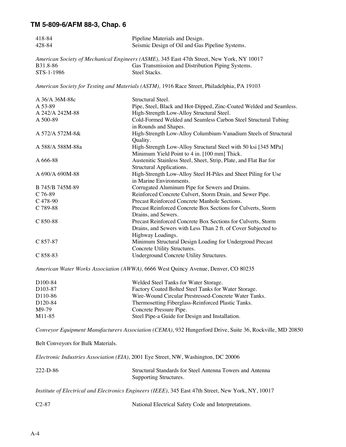| 418-84           | Pipeline Materials and Design.                                                                                 |
|------------------|----------------------------------------------------------------------------------------------------------------|
| 428-84           | Seismic Design of Oil and Gas Pipeline Systems.                                                                |
|                  | American Society of Mechanical Engineers (ASME), 345 East 47th Street, New York, NY 10017                      |
| B31.8-86         | Gas Transmission and Distribution Piping Systems.                                                              |
| STS-1-1986       | Steel Stacks.                                                                                                  |
|                  | American Society for Testing and Materials (ASTM), 1916 Race Street, Philadelphia, PA 19103                    |
| A 36/A 36M-88c   | Structural Steel.                                                                                              |
| A 53-89          | Pipe, Steel, Black and Hot-Dipped, Zinc-Coated Welded and Seamless.                                            |
| A 242/A 242M-88  | High-Strength Low-Alloy Structural Steel.                                                                      |
| A 500-89         | Cold-Formed Welded and Seamless Carbon Steel Structural Tubing<br>in Rounds and Shapes.                        |
| A 572/A 572M-8&  | High-Strength Low-Alloy Columbium-Vanadium Steels of Structural<br>Quality.                                    |
| A 588/A 588M-88a | High-Strength Low-Alloy Structural Steel with 50 ksi [345 MPa]<br>Minimum Yield Point to 4 in. [100 mm] Thick. |
| A 666-88         | Austenitic Stainless Steel, Sheet, Strip, Plate, and Flat Bar for<br>Structural Applications.                  |
| A 690/A 690M-88  | High-Strength Low-Alloy Steel H-Piles and Sheet Piling for Use<br>in Marine Environments.                      |
| B 745/B 745M-89  | Corrugated Aluminum Pipe for Sewers and Drains.                                                                |
| $C$ 76-89        | Reinforced Concrete Culvert, Storm Drain, and Sewer Pipe.                                                      |
| C 478-90         | Precast Reinforced Concrete Manhole Sections.                                                                  |
| C 789-88         | Precast Reinforced Concrete Box Sections for Culverts, Storm<br>Drains, and Sewers.                            |
| C 850-88         | Precast Reinforced Concrete Box Sections for Culverts, Storm                                                   |
|                  | Drains, and Sewers with Less Than 2 ft. of Cover Subjected to                                                  |
|                  | Highway Loadings.                                                                                              |
| C 857-87         | Minimum Structural Design Loading for Undergroud Precast                                                       |
|                  | Concrete Utility Structures.                                                                                   |
| C 858-83         | Underground Concrete Utility Structures.                                                                       |
|                  | American Water Works Association (AWWA), 6666 West Quincy Avenue, Denver, CO 80235                             |
| D100-84          | Welded Steel Tanks for Water Storage.                                                                          |
| D103-87          | Factory Coated Bolted Steel Tanks for Water Storage.                                                           |
| D110-86          | Wire-Wound Circular Prestressed-Concrete Water Tanks.                                                          |
|                  |                                                                                                                |

D120-84 Thermosetting Fiberglass-Reinforced Plastic Tanks. M9-79 Concrete Pressure Pipe.<br>M11-85 Steel Pipe-a Guide for D Steel Pipe-a Guide for Design and Installation.

*Conveyor Equipment Manufacturers Association (CEMA),* 932 Hungerford Drive, Suite 36, Rockville, MD 20850

Belt Conveyors for Bulk Materials.

|                                             | <i>Electronic Industries Association (EIA), 2001 Eye Street, NW, Washington, DC 20006</i> |
|---------------------------------------------|-------------------------------------------------------------------------------------------|
| $222-D-86$                                  | Structural Standards for Steel Antenna Towers and Antenna<br>Supporting Structures.       |
| $\mathbf{v}$ . The contract of $\mathbf{v}$ | $\mathbf{v}$                                                                              |

*Institute of Electrical and Electronics Engineers (IEEE),* 345 East 47th Street, New York, NY, 10017

| $C2-87$ |  | National Electrical Safety Code and Interpretations. |
|---------|--|------------------------------------------------------|
|---------|--|------------------------------------------------------|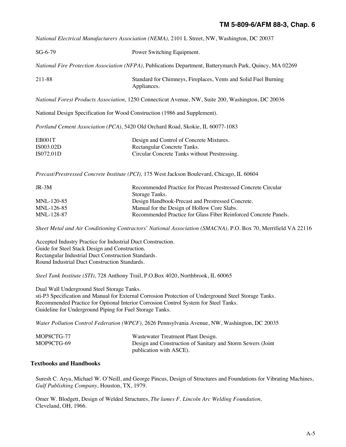*National Electrical Manufacturers Association (NEMA),* 2101 L Street, NW, Washington, DC 20037

| $SG-6-79$                                                                                                 | Power Switching Equipment.                                                                                               |  |
|-----------------------------------------------------------------------------------------------------------|--------------------------------------------------------------------------------------------------------------------------|--|
| National Fire Protection Association (NFPA), Publications Department, Batterymarch Park, Quincy, MA 02269 |                                                                                                                          |  |
| 211-88                                                                                                    | Standard for Chimneys, Fireplaces, Vents and Solid Fuel Burning<br>Appliances.                                           |  |
| <i>National Forest Products Association, 1250 Connecticut Avenue, NW, Suite 200, Washington, DC 20036</i> |                                                                                                                          |  |
| National Design Specification for Wood Construction (1986 and Supplement).                                |                                                                                                                          |  |
| Portland Cement Association (PCA), 5420 Old Orchard Road, Skokie, IL 60077-1083                           |                                                                                                                          |  |
| EB001T<br>IS003.02D<br>IS072.01D                                                                          | Design and Control of Concrete Mixtures.<br>Rectangular Concrete Tanks.<br>Circular Concrete Tanks without Prestressing. |  |
| Precast/Prestressed Concrete Institute (PCI), 175 West Jackson Boulevard, Chicago, IL 60604               |                                                                                                                          |  |
| $JR-3M$                                                                                                   | Recommended Practice for Precast Prestressed Concrete Circular                                                           |  |

| .                |                                                                  |
|------------------|------------------------------------------------------------------|
|                  | Storage Tanks.                                                   |
| $MNI - 120 - 85$ | Design Handbook-Precast and Prestressed Concrete.                |
| $MNI - 126-85$   | Manual for the Design of Hollow Core Slabs.                      |
| MNL-128-87       | Recommended Practice for Glass Fiber Reinforced Concrete Panels. |
|                  |                                                                  |

*Sheet Metal and Air Conditioning Contractors\* National Association (SMACNA),* P.O. Box 70, Merrifield VA 22116

Accepted Industry Practice for Industrial Duct Construction. Guide for Steel Stack Design and Construction. Rectangular Industrial Duct Construction Standards. Round Industrial Duct Construction Standards.

*Steel Tank Institute (STI),* 728 Anthony Trail, P.O.Box 4020, Northbrook, IL 60065

Dual Wall Underground Steel Storage Tanks. sti-P3 Specification and Manual for External Corrosion Protection of Underground Steel Storage Tanks. Recommended Practice for Optional Interior Corrosion Control System for Steel Tanks. Guideline for Underground Piping for Fuel Storage Tanks.

*Water Pollution Control Federation (WPCF),* 2626 Pennsylvania Avenue, NW, Washington, DC 20035

| MOP8CTG-77 | Wastewater Treatment Plant Design.                          |
|------------|-------------------------------------------------------------|
| MOP9CTG-69 | Design and Construction of Sanitary and Storm Sewers (Joint |
|            | publication with ASCE).                                     |

### **Textbooks and Handbooks**

Suresh C. Arya, Michael W. O'Neill, and George Pincus, Design of Structures and Foundations for Vibrating Machines, *Gulf Publishing Company,* Houston, TX, 1979.

Omer W. Blodgett, Design of Welded Structures, *The lames F. Lincoln Arc Welding Foundation,*  Cleveland, OH, 1966.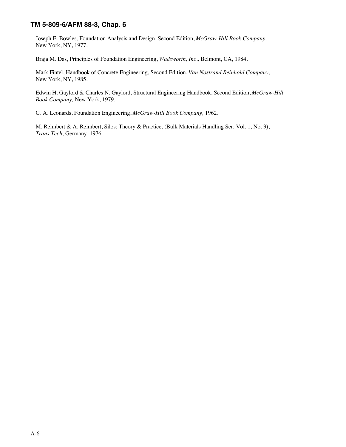Joseph E. Bowles, Foundation Analysis and Design, Second Edition, *McGraw-Hill Book Company,* New York, NY, 1977.

Braja M. Das, Principles of Foundation Engineering, *Wadsworth, Inc.,* Belmont, CA, 1984.

Mark Fintel, Handbook of Concrete Engineering, Second Edition, *Van Nostrand Reinhold Company,*  New York, NY, 1985.

Edwin H. Gaylord & Charles N. Gaylord, Structural Engineering Handbook, Second Edition, *McGraw-Hill Book Company,* New York, 1979.

G. A. Leonards, Foundation Engineering, *McGraw-Hill Book Company,* 1962.

M. Reimbert & A. Reimbert, Silos: Theory & Practice, (Bulk Materials Handling Ser: Vol. 1, No. 3), *Trans Tech,* Germany, 1976.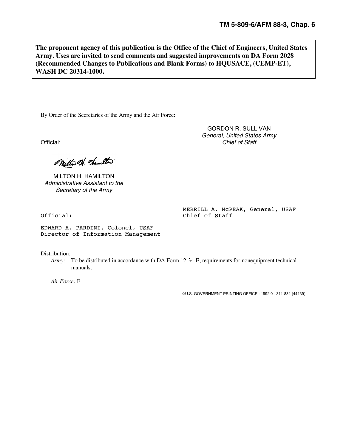**The proponent agency of this publication is the Office of the Chief of Engineers, United States Army. Uses are invited to send comments and suggested improvements on DA Form 2028 (Recommended Changes to Publications and Blank Forms) to HQUSACE, (CEMP-ET), WASH DC 20314-1000.**

By Order of the Secretaries of the Army and the Air Force:

Official: *Chief of Staff*

Mitter 21. dameter

MILTON H. HAMILTON *Administrative Assistant to the Secretary of the Army*

MERRILL A. McPEAK, General, USAF Official: Chief of Staff

GORDON R. SULLIVAN *General, United States Army*

EDWARD A. PARDINI, Colonel, USAF Director of Information Management

Distribution:

*Army:* To be distributed in accordance with DA Form 12-34-E, requirements for nonequipment technical manuals.

*Air Force:* F

**☆U.S. GOVERNMENT PRINTING OFFICE : 1992 0 - 311-831 (44139)**